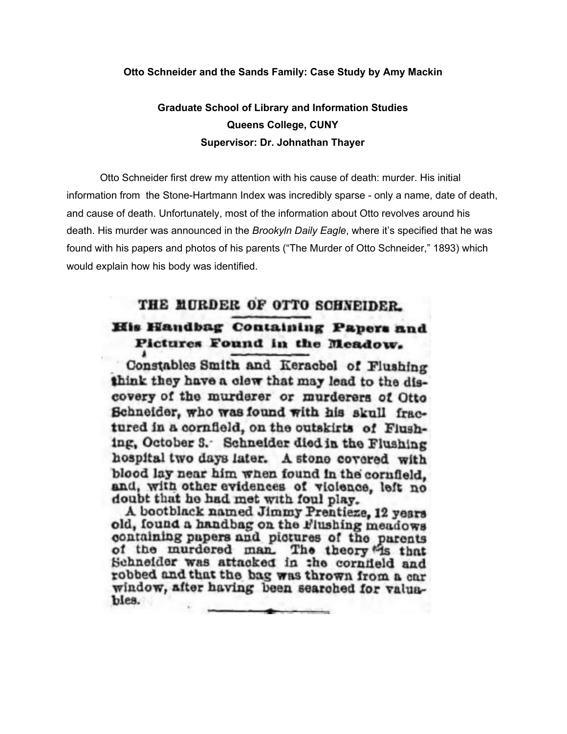## **Otto Schneider and the Sands Family: Case Study by Amy Mackin**

## **Graduate School of Library and Information Studies Queens College, CUNY Supervisor: Dr. Johnathan Thayer**

Otto Schneider first drew my attention with his cause of death: murder. His initial information from the Stone-Hartmann Index was incredibly sparse - only a name, date of death, and cause of death. Unfortunately, most of the information about Otto revolves around his death. His murder was announced in the *Brookyln Daily Eagle*, where it's specified that he was found with his papers and photos of his parents ("The Murder of Otto Schneider," 1893) which would explain how his body was identified.

## THE MURDER OF OTTO SCHNEIDER. His Handbag Containing Papers and Pictures Found in the Meadow.

Constables Smith and Keracbel of Flushing think they have a clew that may lead to the discovery of the murderer or murderers of Otto Schneider, who was found with his skull fractured in a cornfield, on the outskirts of Flushing, October 3. Schneider died in the Flushing hospital two days later. A stone covered with blood lay near him when found in the cornfield. and, with other evidences of violence, left no doubt that he had met with foul play.

A bootblack named Jimmy Prentieze, 12 years old, found a handbag on the Flushing meadows containing papers and pictures of the parents of the murdered man. The theory is that Schneider was attacked in the cornfield and robbed and that the bag was thrown from a car window, after having been searched for valuables.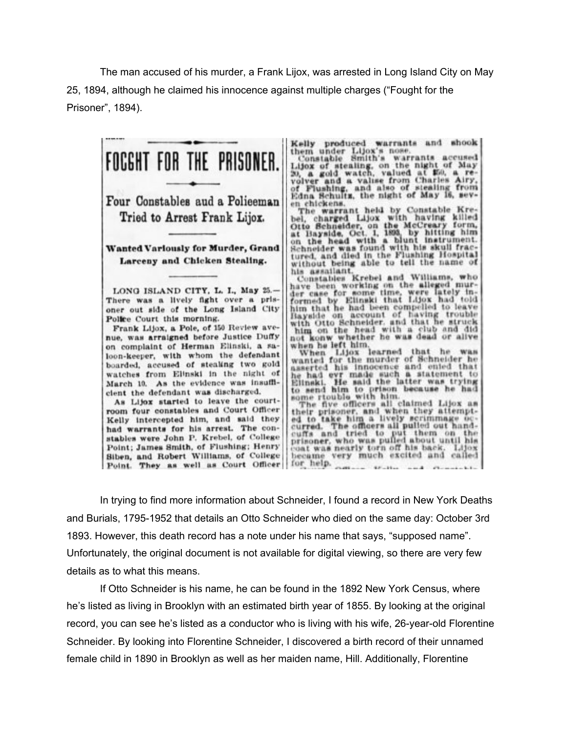The man accused of his murder, a Frank Lijox, was arrested in Long Island City on May 25, 1894, although he claimed his innocence against multiple charges ("Fought for the Prisoner", 1894).



In trying to find more information about Schneider, I found a record in New York Deaths and Burials, 1795-1952 that details an Otto Schneider who died on the same day: October 3rd 1893. However, this death record has a note under his name that says, "supposed name". Unfortunately, the original document is not available for digital viewing, so there are very few details as to what this means.

If Otto Schneider is his name, he can be found in the 1892 New York Census, where he's listed as living in Brooklyn with an estimated birth year of 1855. By looking at the original record, you can see he's listed as a conductor who is living with his wife, 26-year-old Florentine Schneider. By looking into Florentine Schneider, I discovered a birth record of their unnamed female child in 1890 in Brooklyn as well as her maiden name, Hill. Additionally, Florentine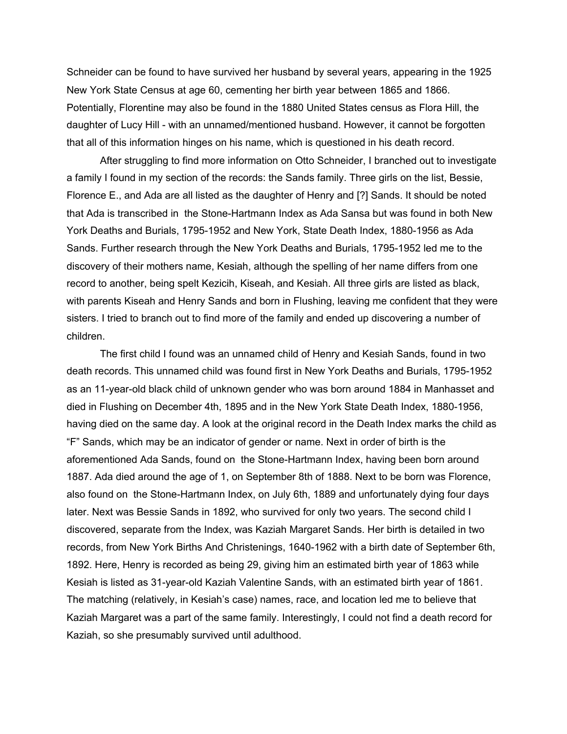Schneider can be found to have survived her husband by several years, appearing in the 1925 New York State Census at age 60, cementing her birth year between 1865 and 1866. Potentially, Florentine may also be found in the 1880 United States census as Flora Hill, the daughter of Lucy Hill - with an unnamed/mentioned husband. However, it cannot be forgotten that all of this information hinges on his name, which is questioned in his death record.

After struggling to find more information on Otto Schneider, I branched out to investigate a family I found in my section of the records: the Sands family. Three girls on the list, Bessie, Florence E., and Ada are all listed as the daughter of Henry and [?] Sands. It should be noted that Ada is transcribed in the Stone-Hartmann Index as Ada Sansa but was found in both New York Deaths and Burials, 1795-1952 and New York, State Death Index, 1880-1956 as Ada Sands. Further research through the New York Deaths and Burials, 1795-1952 led me to the discovery of their mothers name, Kesiah, although the spelling of her name differs from one record to another, being spelt Kezicih, Kiseah, and Kesiah. All three girls are listed as black, with parents Kiseah and Henry Sands and born in Flushing, leaving me confident that they were sisters. I tried to branch out to find more of the family and ended up discovering a number of children.

The first child I found was an unnamed child of Henry and Kesiah Sands, found in two death records. This unnamed child was found first in New York Deaths and Burials, 1795-1952 as an 11-year-old black child of unknown gender who was born around 1884 in Manhasset and died in Flushing on December 4th, 1895 and in the New York State Death Index, 1880-1956, having died on the same day. A look at the original record in the Death Index marks the child as "F" Sands, which may be an indicator of gender or name. Next in order of birth is the aforementioned Ada Sands, found on the Stone-Hartmann Index, having been born around 1887. Ada died around the age of 1, on September 8th of 1888. Next to be born was Florence, also found on the Stone-Hartmann Index, on July 6th, 1889 and unfortunately dying four days later. Next was Bessie Sands in 1892, who survived for only two years. The second child I discovered, separate from the Index, was Kaziah Margaret Sands. Her birth is detailed in two records, from New York Births And Christenings, 1640-1962 with a birth date of September 6th, 1892. Here, Henry is recorded as being 29, giving him an estimated birth year of 1863 while Kesiah is listed as 31-year-old Kaziah Valentine Sands, with an estimated birth year of 1861. The matching (relatively, in Kesiah's case) names, race, and location led me to believe that Kaziah Margaret was a part of the same family. Interestingly, I could not find a death record for Kaziah, so she presumably survived until adulthood.